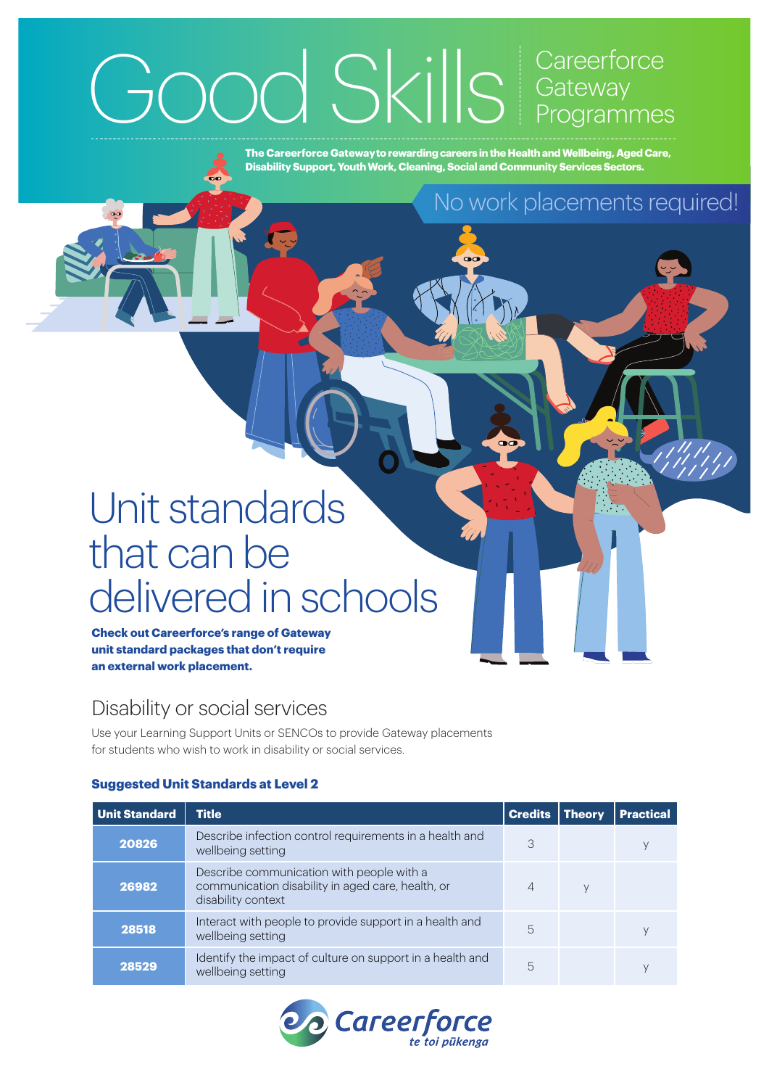## Good Skills Careerforce **Gateway** Programmes

**The Careerforce Gateway to rewarding careers in the Health and Wellbeing, Aged Care, Disability Support, Youth Work, Cleaning, Social and Community Services Sectors.**

## No work placements required!

# Unit standards that can be delivered in schools

**Check out Careerforce's range of Gateway unit standard packages that don't require an external work placement.**

### Disability or social services

Use your Learning Support Units or SENCOs to provide Gateway placements for students who wish to work in disability or social services.

#### **Suggested Unit Standards at Level 2**

| <b>Unit Standard</b> | <b>Title</b>                                                                                                         | <b>Credits</b> | Theory | <b>Practical</b> |
|----------------------|----------------------------------------------------------------------------------------------------------------------|----------------|--------|------------------|
| 20826                | Describe infection control requirements in a health and<br>wellbeing setting                                         | 3              |        |                  |
| 26982                | Describe communication with people with a<br>communication disability in aged care, health, or<br>disability context | 4              |        |                  |
| 28518                | Interact with people to provide support in a health and<br>wellbeing setting                                         | 5              |        |                  |
| 28529                | Identify the impact of culture on support in a health and<br>wellbeing setting                                       | 5              |        |                  |

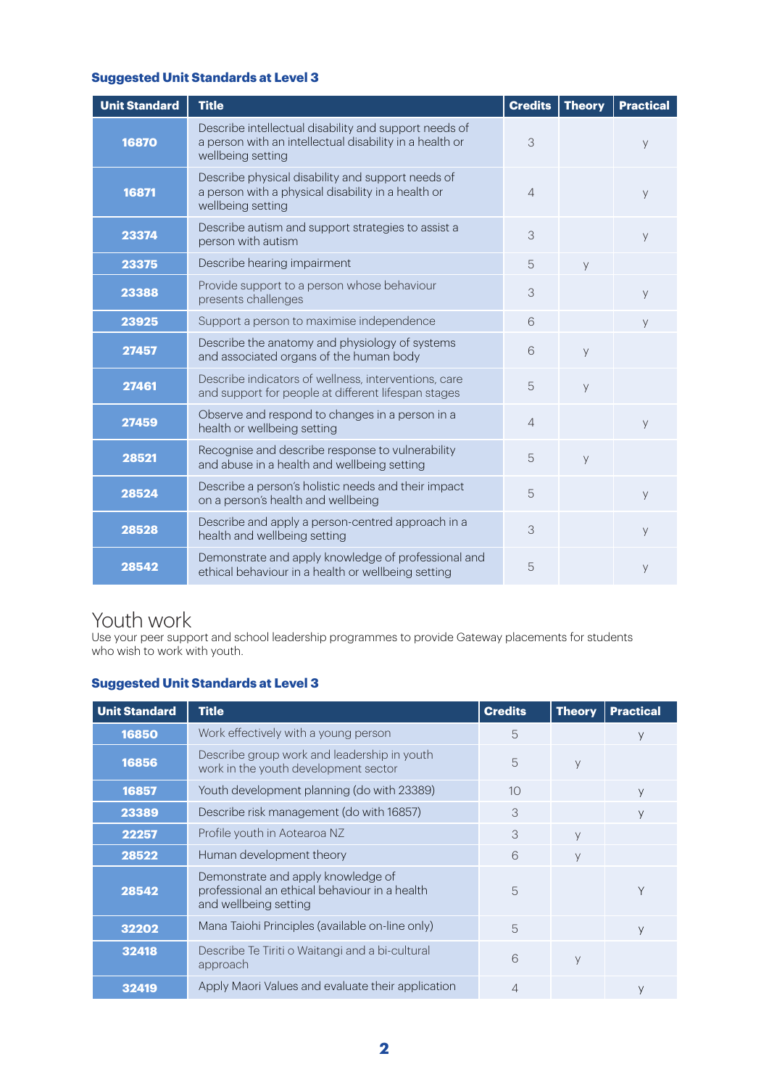#### **Suggested Unit Standards at Level 3**

| <b>Unit Standard</b> | <b>Title</b>                                                                                                                          | <b>Credits</b> | <b>Theory</b> | <b>Practical</b> |
|----------------------|---------------------------------------------------------------------------------------------------------------------------------------|----------------|---------------|------------------|
| 16870                | Describe intellectual disability and support needs of<br>a person with an intellectual disability in a health or<br>wellbeing setting | 3              |               | y                |
| 16871                | Describe physical disability and support needs of<br>a person with a physical disability in a health or<br>wellbeing setting          |                |               | y                |
| 23374                | Describe autism and support strategies to assist a<br>person with autism                                                              |                |               | y                |
| 23375                | Describe hearing impairment                                                                                                           |                | y             |                  |
| 23388                | Provide support to a person whose behaviour<br>presents challenges                                                                    |                |               | y                |
| 23925                | Support a person to maximise independence                                                                                             |                |               | y                |
| 27457                | Describe the anatomy and physiology of systems<br>and associated organs of the human body                                             | 6              | y             |                  |
| 27461                | Describe indicators of wellness, interventions, care<br>and support for people at different lifespan stages                           |                | y             |                  |
| 27459                | Observe and respond to changes in a person in a<br>health or wellbeing setting                                                        | $\overline{4}$ |               | y                |
| 28521                | Recognise and describe response to vulnerability<br>and abuse in a health and wellbeing setting                                       | 5              | y             |                  |
| 28524                | Describe a person's holistic needs and their impact<br>on a person's health and wellbeing                                             | 5              |               | y                |
| 28528                | Describe and apply a person-centred approach in a<br>health and wellbeing setting                                                     | 3              |               | y                |
| 28542                | Demonstrate and apply knowledge of professional and<br>ethical behaviour in a health or wellbeing setting                             | 5              |               | y                |

### Youth work

Use your peer support and school leadership programmes to provide Gateway placements for students who wish to work with youth.

#### **Suggested Unit Standards at Level 3**

| <b>Unit Standard</b> | <b>Title</b>                                                                                                 | <b>Credits</b> | <b>Theory</b> | <b>Practical</b> |
|----------------------|--------------------------------------------------------------------------------------------------------------|----------------|---------------|------------------|
| 16850                | Work effectively with a young person                                                                         | 5              |               |                  |
| 16856                | Describe group work and leadership in youth<br>work in the youth development sector                          | 5              | У             |                  |
| 16857                | Youth development planning (do with 23389)                                                                   | 10             |               | y                |
| 23389                | Describe risk management (do with 16857)                                                                     | 3              |               | У                |
| 22257                | Profile youth in Aotearoa NZ                                                                                 | 3              | y             |                  |
| 28522                | Human development theory                                                                                     | 6              | У             |                  |
| 28542                | Demonstrate and apply knowledge of<br>professional an ethical behaviour in a health<br>and wellbeing setting | 5              |               | Υ                |
| 32202                | Mana Taiohi Principles (available on-line only)                                                              | 5              |               | y                |
| 32418                | Describe Te Tiriti o Waitangi and a bi-cultural<br>approach                                                  | 6              | У             |                  |
| 32419                | Apply Maori Values and evaluate their application                                                            | 4              |               |                  |